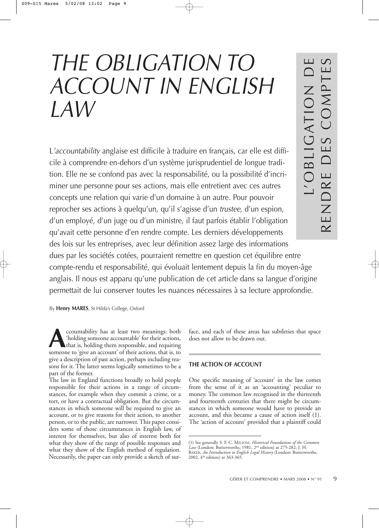# *THE OBLIGATION TO ACCOUNT IN ENGLISH LAW*

L*'accountability* anglaise est difficile à traduire en français, car elle est difficile à comprendre en-dehors d'un système jurisprudentiel de longue tradition. Elle ne se confond pas avec la responsabilité, ou la possibilité d'incriminer une personne pour ses actions, mais elle entretient avec ces autres concepts une relation qui varie d'un domaine à un autre. Pour pouvoir reprocher ses actions à quelqu'un, qu'il s'agisse d'un *trustee*, d'un espion, d'un employé, d'un juge ou d'un ministre, il faut parfois établir l'obligation qu'avait cette personne d'en rendre compte. Les derniers développements des lois sur les entreprises, avec leur définition assez large des informations dues par les sociétés cotées, pourraient remettre en question cet équilibre entre compte-rendu et responsabilité, qui évoluait lentement depuis la fin du moyen-âge anglais. Il nous est apparu qu'une publication de cet article dans sa langue d'origine permettait de lui conserver toutes les nuances nécessaires à sa lecture approfondie.

By **Henry MARES**, St Hilda's College, Oxford

**A** countability has at least two meanings: both 'holding someone accountable' for their actions, that is, holding them responsible, and requiring someone to 'give an account' of their actions, that is, to 'holding someone accountable' for their actions, that is, holding them responsible, and requiring someone to 'give an account' of their actions, that is, to give a description of past action, perhaps including reasons for it. The latter seems logically sometimes to be a part of the former.

The law in England functions broadly to hold people responsible for their actions in a range of circumstances, for example when they commit a crime, or a tort, or have a contractual obligation. But the circumstances in which someone will be required to give an account, or to give reasons for their action, to another person, or to the public, are narrower. This paper considers some of those circumstances in English law, of interest for themselves, but also of interest both for what they show of the range of possible responses and what they show of the English method of regulation. Necessarily, the paper can only provide a sketch of surface, and each of these areas has subtleties that space does not allow to be drawn out.

L'OBLIGATION DE

RENDRE DES COMPTES

L'OBLIGATION<br>RENDRE DES COMPT

## **THE ACTION OF ACCOUNT**

One specific meaning of 'account' in the law comes from the sense of it as an 'accounting' peculiar to money. The common law recognised in the thirteenth and fourteenth centuries that there might be circumstances in which someone would have to provide an account, and this became a cause of action itself (1). The 'action of account' provided that a plaintiff could

<sup>(1)</sup> See generally S. F. C. MILSOM, *Historical Foundations of the Common Law* (London: Butterworths, 1981, 2nd edition) at 275-282; J. H. BAKER, *An Introduction to English Legal History* (London: Butterworths, 2002, 4th edition) at 363-365.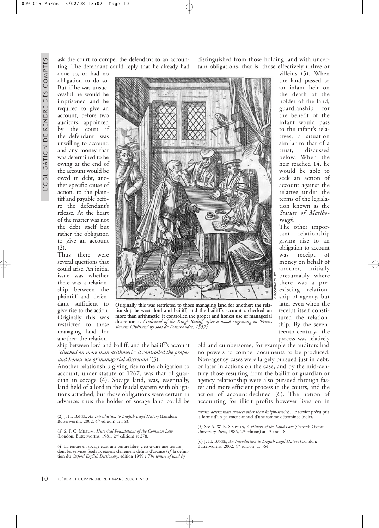done so, or had no obligation to do so. But if he was unsuccessful he would be imprisoned and be required to give an account, before two auditors, appointed by the court if the defendant was unwilling to account, and any money that was determined to be owing at the end of the account would be owed in debt, another specific cause of action, to the plaintiff and payable before the defendant's release. At the heart of the matter was not the debt itself but rather the obligation to give an account (2).

several questions that could arise. An initial issue was whether there was a relationship between the plaintiff and defendant sufficient to give rise to the action. Originally this was restricted to those managing land for

ask the court to compel the defendant to an accounting. The defendant could reply that he already had

Thus there were another; the relation-



**Originally this was restricted to those managing land for another; the relationship between lord and bailiff, and the bailiff's account « checked on more than arithmetic: it controlled the proper and honest use of managerial discretion ».** *(Tribunal of the King's Bailiff, after a wood engraving in 'Praxis Rerum Civilium' by Joos de Damhouder, 1557)*

ship between lord and bailiff, and the bailiff's account *"checked on more than arithmetic: it controlled the proper and honest use of managerial discretion"* (3).

Another relationship giving rise to the obligation to account, under statute of 1267, was that of guardian in socage (4). Socage land, was, essentially, land held of a lord in the feudal system with obligations attached, but those obligations were certain in advance: thus the holder of socage land could be

distinguished from those holding land with uncertain obligations, that is, those effectively unfree or

> villeins (5). When the land passed to an infant heir on the death of the holder of the land, guardianship for the benefit of the infant would pass to the infant's relatives, a situation similar to that of a trust, discussed below. When the heir reached 14, he would be able to seek an action of account against the relative under the terms of the legislation known as the *Statute of Marlborough*.

The other important relationship giving rise to an obligation to account was receipt of money on behalf of another, initially presumably where there was a preexisting relationship of agency, but later even when the receipt itself constituted the relationship. By the seventeenth-century, the process was relatively

old and cumbersome, for example the auditors had no powers to compel documents to be produced. Non-agency cases were largely pursued just in debt, or later in actions on the case, and by the mid-century those resulting from the bailiff or guardian or agency relationship were also pursued through faster and more efficient process in the courts, and the action of account declined (6). The notion of accounting for illicit profits however lives on in

*certain determinate services other than knight-service*). Le service prévu prit la forme d'un paiement annuel d'une somme déterminée (ndlr).

(5) See A. W. B. SIMPSON, *A History of the Land Law* (Oxford: Oxford University Press, 1986, 2nd edition) at 13 and 18.

<sup>(2)</sup> J. H. BAKER, *An Introduction to English Legal History* (London: Butterworths, 2002, 4<sup>th</sup> edition) at 363.

<sup>(3)</sup> S. F. C. MILSOM, *Historical Foundations of the Common Law* (London: Butterworths, 1981, 2nd edition) at 278.

<sup>(4)</sup> La tenure en socage était une tenure libre, c'est-à-dire une tenure dont les services féodaux étaient clairement définis d'avance (*cf.* la définition du *Oxford English Dictionary*, édition 1959 : *The tenure of land by*

<sup>(6)</sup> J. H. BAKER, *An Introduction to English Legal History* (London: Butterworths, 2002,  $4^{\text{th}}$  edition) at 364.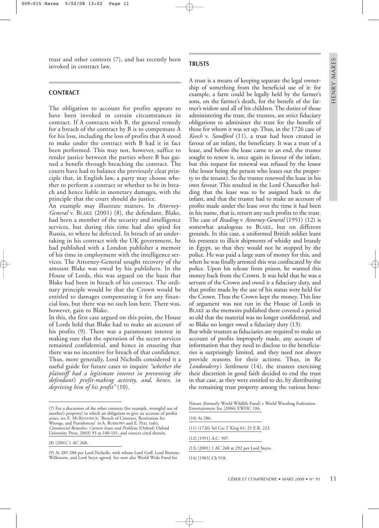trust and other contexts (7), and has recently been invoked in contract law.

#### **CONTRACT**

The obligation to account for profits appears to have been invoked in certain circumstances in contract. If A contracts with B, the general remedy for a breach of the contract by B is to compensate A for his loss, including the loss of profits that A stood to make under the contract with B had it in fact been performed. This may not, however, suffice to render justice between the parties where B has gained a benefit through breaching the contract. The courts have had to balance the previously clear principle that, in English law, a party may choose whether to perform a contract or whether to be in breach and hence liable in monetary damages, with the principle that the court should do justice.

An example may illustrate matters. In *Attorney-General* v. BLAKE (2001) (8), the defendant, Blake, had been a member of the security and intelligence services, but during this time had also spied for Russia, to where he defected. In breach of an undertaking in his contract with the UK government, he had published with a London publisher a memoir of his time in employment with the intelligence services. The Attorney-General sought recovery of the amount Blake was owed by his publishers. In the House of Lords, this was argued on the basis that Blake had been in breach of his contract. The ordinary principle would be that the Crown would be entitled to damages compensating it for any financial loss, but there was no such loss here. There was, however, gain to Blake.

In this, the first case argued on this point, the House of Lords held that Blake had to make an account of his profits (9). There was a paramount interest in making sure that the operation of the secret services remained confidential, and hence in ensuring that there was no incentive for breach of that confidence. Thus, more generally, Lord Nicholls considered it a useful guide for future cases to inquire *"whether the plaintiff had a legitimate interest in preventing the defendant's profit-making activity, and, hence, in depriving him of his profit"* (10).

## **TRUSTS**

A trust is a means of keeping separate the legal ownership of something from the beneficial use of it: for example, a farm could be legally held by the farmer's sons, on the farmer's death, for the benefit of the farmer's widow and all of his children. The duties of those administering the trust, the trustees, are strict fiduciary obligations to administer the trust for the benefit of those for whom it was set up. Thus, in the 1726 case of *Keech* v. *Sandford* (11), a trust had been created in favour of an infant, the beneficiary. It was a trust of a lease, and before the lease came to an end, the trustee sought to renew it, once again in favour of the infant, but this request for renewal was refused by the lessor (the lessor being the person who leases out the property to the tenant). So the trustee renewed the lease in his own favour. This resulted in the Lord Chancellor holding that the lease was to be assigned back to the infant, and that the trustee had to make an account of profits made under the lease over the time it had been in his name, that is, return any such profits to the trust. The case of *Reading* v *Attorney-General* (1951) (12) is somewhat analogous to BLAKE, but on different grounds. In this case, a uniformed British soldier leant his presence to illicit shipments of whisky and brandy in Egypt, so that they would not be stopped by the police. He was paid a large sum of money for this, and when he was finally arrested this was confiscated by the police. Upon his release from prison, he wanted this money back from the Crown. It was held that he was a servant of the Crown and owed it a fiduciary duty, and that profits made by the use of his status were held for the Crown. Thus the Crown kept the money. This line of argument was not run in the House of Lords in BLAKE as the memoirs published there covered a period so old that the material was no longer confidential, and so Blake no longer owed a fiduciary duty (13).

But while trustees as fiduciaries are required to make an account of profits improperly made, any account of information that they need to disclose to the beneficiaries is surprisingly limited, and they need not always provide reasons for their actions. Thus, in Re *Londonderry's Settlement* (14), the trustees exercising their discretion in good faith decided to end the trust in that case, as they were entitled to do, by distributing the remaining trust property among the various bene-

<sup>(7)</sup> For a discussion of the other contexts (for example, wrongful use of another's property) in which an obligation to give an account of profits arises, see E. MCKENDRICK, 'Breach of Contract, Restitution for Wrongs, and Punishment' *in* A. BURROWS and E. PEEL (eds), *Commercial Remedies: Current Issues and Problems* (Oxford: Oxford University Press, 2003) 93 at 100-101, and sources cited therein.

<sup>(8) [2001] 1</sup> AC 268.

<sup>(9)</sup> At 285-288 per Lord Nicholls, with whom Lord Goff, Lord Browne-Wilkinson, and Lord Steyn agreed. See now also World Wide Fund for

Nature (formerly World Wildlife Fund) v World Wrestling Federation Entertainment Inc [2006] EWHC 184.

<sup>(10)</sup> At 286. (11) (1726) Sel Cas T King 61; 25 E.R. 223. (12) [1951] A.C. 507.

<sup>(13) [2001] 1</sup> AC 268 at 292 per Lord Steyn.

<sup>(14) [1965]</sup> Ch 918.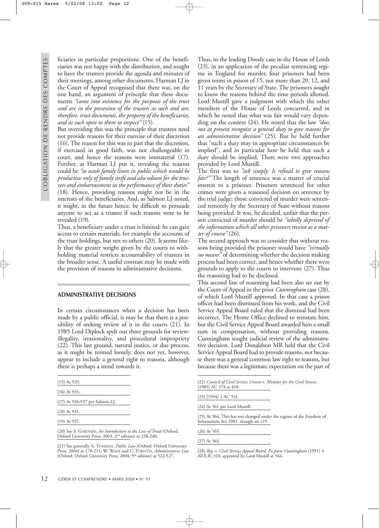ficiaries in particular proportions. One of the beneficiaries was not happy with the distribution, and sought to have the trustees provide the agenda and minutes of their meetings, among other documents. Harman LJ in the Court of Appeal recognised that there was, on the one hand, an argument of principle that these documents *"came into existence for the purposes of the trust and are in the possession of the trustees as such and are, therefore, trust documents, the property of the beneficiaries, and as such open to them to inspect"* (15).

But overriding this was the principle that trustees need not provide reasons for their exercise of their discretion (16). The reason for this was in part that the discretion, if exercised in good faith, was not challengeable in court, and hence the reasons were immaterial (17). Further, as Harman LJ put it, revealing the reasons could be *"to wash family linen in public which would be productive only of family strife and also odium for the trustees and embarrassment in the performance of their duties"* (18). Hence, providing reasons might not be in the interests of the beneficiaries. And, as Salmon LJ noted, it might, in the future hence, be difficult to persuade anyone to act as a trustee if such reasons were to be revealed (19).

Thus, a beneficiary under a trust is limited: he can gain access to certain materials, for example the accounts of the trust holdings, but not to others (20). It seems likely that the greater weight given by the courts to withholding material restricts accountability of trustees in the broader sense. A useful contrast may be made with the provision of reasons in administrative decisions.

#### **ADMINISTRATIVE DECISIONS**

In certain circumstances when a decision has been made by a public official, it may be that there is a possibility of seeking review of it in the courts (21). In 1985 Lord Diplock spelt out three grounds for review: illegality, irrationality, and procedural impropriety (22). This last ground, natural justice, or due process, as it might be termed loosely, does not yet, however, appear to include a general right to reasons, although there is perhaps a trend towards it.

| $(15)$ At 929.                 |
|--------------------------------|
| $(16)$ At 933.                 |
| (17) At 936-937 per Salmon LJ. |
| $(18)$ At 931.                 |
| $(19)$ At 937.                 |

(20) See S. GARDNER, *An Introduction to the Law of Trusts* (Oxford: Oxford University Press, 2003, 2nd edition) at 238-240.

Thus, in the leading Doody case in the House of Lords (23), in an application of the peculiar sentencing regime in England for murder, four prisoners had been given terms in prison of 15, not more than 20, 12, and 11 years by the Secretary of State. The prisoners sought to know the reasons behind the time periods allotted. Lord Mustill gave a judgment with which the other members of the House of Lords concurred, and in which he noted that what was fair would vary depending on the context (24). He noted that the law *"does not at present recognise a general duty to give reasons for an administrative decision"* (25). But he held further that "such a duty may in appropriate circumstances be implied", and in particular here he held that such a duty should be implied. There were two approaches provided by Lord Mustill.

The first was to *"ask simply: Is refusal to give reasons fair?"* The length of sentence was a matter of crucial interest to a prisoner. Prisoners sentenced for other crimes were given a reasoned decision on sentence by the trial judge; those convicted of murder were sentenced remotely by the Secretary of State without reasons being provided. It was, he decided, unfair that the person convicted of murder should be *"wholly deprived of the information which all other prisoners receive as a matter of course"* (26).

The second approach was to consider that without reasons being provided the prisoner would have *"virtually no means"* of determining whether the decision making process had been correct, and hence whether there were grounds to apply to the courts to intervene (27). Thus the reasoning had to be disclosed.

This second line of reasoning had been also set out by the Court of Appeal in the prior *Cunningham* case (28), of which Lord Mustill approved. In that case a prison officer had been dismissed from his work, and the Civil Service Appeal Board ruled that the dismissal had been incorrect. The Home Office declined to reinstate him, but the Civil Service Appeal Board awarded him a small sum in compensation, without providing reasons. Cunningham sought judicial review of the administrative decision. Lord Donaldson MR held that the Civil Service Appeal Board had to provide reasons, not because there was a general common law right to reasons, but because there was a legitimate expectation on the part of

<sup>(22)</sup> *Council of Civil Service Unions* v. *Minister for the Civil Service* [1985] AC 374 at 410.

|  |  |  | (23) [1994] 1 AC 531. |  |
|--|--|--|-----------------------|--|
|  |  |  |                       |  |

(24) At 561 per Lord Mustill.

(25) At 564. This has not changed under the regime of the Freedom of Information Act 2001, though see s19.

| $(26)$ At 565. |  |
|----------------|--|
| $(27)$ At 565. |  |

(28) *Reg*. v. *Civil Service Appeal Board, Ex parte Cunningham* [1991] 4 All E.R. 310, approved by Lord Mustill at 564.

<sup>(21)</sup> See generally A. TOMKINS, *Public Law* (Oxford: Oxford University Press, 2004) at 170-211; W. WADE and C. FORSYTH, *Administrative Law* (Oxford: Oxford University Press, 2004, 9<sup>th</sup> edition) at 522-527.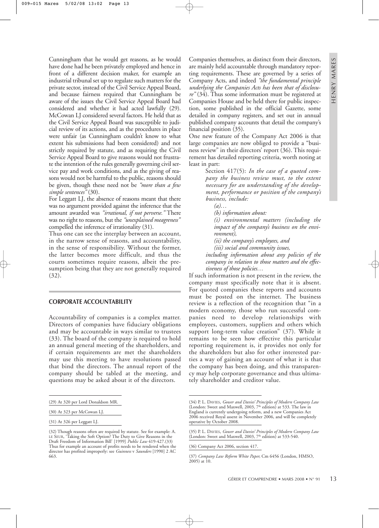Cunningham that he would get reasons, as he would have done had he been privately employed and hence in front of a different decision maker, for example an industrial tribunal set up to regulate such matters for the private sector, instead of the Civil Service Appeal Board, and because fairness required that Cunningham be aware of the issues the Civil Service Appeal Board had considered and whether it had acted lawfully (29). McCowan LJ considered several factors. He held that as the Civil Service Appeal Board was susceptible to judicial review of its actions, and as the procedures in place were unfair (as Cunningham couldn't know to what extent his submissions had been considered) and not strictly required by statute, and as requiring the Civil Service Appeal Board to give reasons would not frustrate the intention of the rules generally governing civil service pay and work conditions, and as the giving of reasons would not be harmful to the public, reasons should be given, though these need not be *"more than a few simple sentences"* (30).

For Leggatt LJ, the absence of reasons meant that there was no argument provided against the inference that the amount awarded was *"irrational, if not perverse."* There was no right to reasons, but the *"unexplained meagreness"* compelled the inference of irrationality (31).

Thus one can see the interplay between an account, in the narrow sense of reasons, and accountability, in the sense of responsibility. Without the former, the latter becomes more difficult, and thus the courts sometimes require reasons, albeit the presumption being that they are not generally required (32).

#### **CORPORATE ACCOUNTABILITY**

Accountability of companies is a complex matter. Directors of companies have fiduciary obligations and may be accountable in ways similar to trustees (33). The board of the company is required to hold an annual general meeting of the shareholders, and if certain requirements are met the shareholders may use this meeting to have resolutions passed that bind the directors. The annual report of the company should be tabled at the meeting, and questions may be asked about it of the directors.

Companies themselves, as distinct from their directors, are mainly held accountable through mandatory reporting requirements. These are governed by a series of Company Acts, and indeed *"the fundamental principle underlying the Companies Acts has been that of disclosure"* (34). Thus some information must be registered at Companies House and be held there for public inspection, some published in the official Gazette, some detailed in company registers, and set out in annual published company accounts that detail the company's financial position (35).

One new feature of the Company Act 2006 is that large companies are now obliged to provide a "business review" in their directors' report (36). This requirement has detailed reporting criteria, worth noting at least in part:

> Section 417(5): *In the case of a quoted company the business review must, to the extent necessary for an understanding of the development, performance or position of the company's business, include:*

*(a)…* 

*(b) information about:*

*(i) environmental matters (including the impact of the company's business on the environment),*

*(ii) the company's employees, and*

*(iii) social and community issues,*

*including information about any policies of the company in relation to those matters and the effectiveness of those policies…*

If such information is not present in the review, the company must specifically note that it is absent. For quoted companies these reports and accounts must be posted on the internet. The business review is a reflection of the recognition that "in a modern economy, those who run successful companies need to develop relationships with employees, customers, suppliers and others which support long-term value creation" (37). While it remains to be seen how effective this particular reporting requirement is, it provides not only for the shareholders but also for other interested parties a way of gaining an account of what it is that the company has been doing, and this transparency may help corporate governance and thus ultimately shareholder and creditor value.

(36) Company Act 2006, section 417.

<sup>(29)</sup> At 320 per Lord Donaldson MR.

<sup>(30)</sup> At 323 per McCowan LJ.

<sup>(31)</sup> At 326 per Leggatt LJ.

<sup>(32)</sup> Though reasons often are required by statute. See for example: A. LE SEUR, 'Taking the Soft Option? The Duty to Give Reasons in the Draft Freedom of Information Bill' [1999] *Public Law* 419-427.(33) Thus for example an account of profits needs to be rendered when the director has profited improperly: see *Guinness* v *Saunders* [1990] 2 AC 663.

<sup>(34)</sup> P. L. DAVIES, *Gower and Davies' Principles of Modern Company Law* (London: Sweet and Maxwell, 2003, 7<sup>th</sup> edition) at 533. The law in England is currently undergoing reform, and a new Companies Act 2006 received Royal assent in November 2006, and will be completely operative by October 2008.

<sup>(35)</sup> P. L. DAVIES, *Gower and Davies' Principles of Modern Company Law* (London: Sweet and Maxwell, 2003,  $7<sup>th</sup>$  edition) at 533-540.

<sup>(37)</sup> *Company Law Reform White Paper,* Cm 6456 (London, HMSO, 2005) at 10.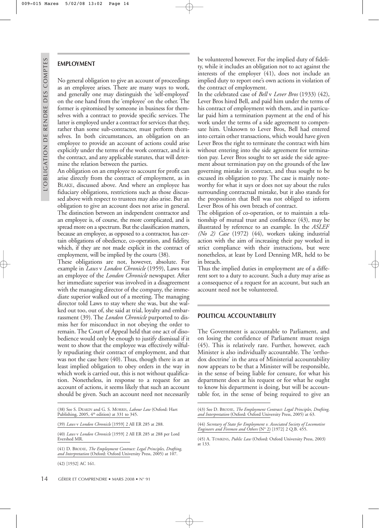# **EMPLOYMENT**

No general obligation to give an account of proceedings as an employee arises. There are many ways to work, and generally one may distinguish the 'self-employed' on the one hand from the 'employee' on the other. The former is epitomised by someone in business for themselves with a contract to provide specific services. The latter is employed under a contract for services that they, rather than some sub-contractor, must perform themselves. In both circumstances, an obligation on an employee to provide an account of actions could arise explicitly under the terms of the work contract, and it is the contract, and any applicable statutes, that will determine the relation between the parties.

An obligation on an employee to account for profit can arise directly from the contract of employment, as in BLAKE, discussed above. And where an employee has fiduciary obligations, restrictions such as those discussed above with respect to trustees may also arise. But an obligation to give an account does not arise in general. The distinction between an independent contractor and an employee is, of course, the more complicated, and is spread more on a spectrum. But the classification matters, because an employee, as opposed to a contractor, has certain obligations of obedience, co-operation, and fidelity, which, if they are not made explicit in the contract of employment, will be implied by the courts (38).

These obligations are not, however, absolute. For example in *Laws* v *London Chronicle* (1959), Laws was an employee of the *London Chronicle* newspaper. After her immediate superior was involved in a disagreement with the managing director of the company, the immediate superior walked out of a meeting. The managing director told Laws to stay where she was, but she walked out too, out of, she said at trial, loyalty and embarrassment (39). The *London Chronicle* purported to dismiss her for misconduct in not obeying the order to remain. The Court of Appeal held that one act of disobedience would only be enough to justify dismissal if it went to show that the employee was effectively wilfully repudiating their contract of employment, and that was not the case here (40). Thus, though there is an at least implied obligation to obey orders in the way in which work is carried out, this is not without qualification. Nonetheless, in response to a request for an account of actions, it seems likely that such an account should be given. Such an account need not necessarily

(38) See S. DEAKIN and G. S. MORRIS, *Labour Law* (Oxford: Hart Publishing, 2005, 4<sup>th</sup> edition) at 331 to 345.

(39) *Laws* v *London Chronicle* [1959] 2 All ER 285 at 288.

(40) *Laws* v *London Chronicle* [1959] 2 All ER 285 at 288 per Lord Evershed MR.

14 GÉRER ET COMPRENDRE • MARS 2008 • N° 91

be volunteered however. For the implied duty of fidelity, while it includes an obligation not to act against the interests of the employer (41), does not include an implied duty to report one's own actions in violation of the contract of employment.

In the celebrated case of *Bell* v *Lever Bros* (1933) (42), Lever Bros hired Bell, and paid him under the terms of his contract of employment with them, and in particular paid him a termination payment at the end of his work under the terms of a side agreement to compensate him. Unknown to Lever Bros, Bell had entered into certain other transactions, which would have given Lever Bros the right to terminate the contract with him without entering into the side agreement for termination pay. Lever Bros sought to set aside the side agreement about termination pay on the grounds of the law governing mistake in contract, and thus sought to be excused its obligation to pay. The case is mainly noteworthy for what it says or does not say about the rules surrounding contractual mistake, but it also stands for the proposition that Bell was not obliged to inform Lever Bros of his own breach of contract.

The obligation of co-operation, or to maintain a relationship of mutual trust and confidence (43), may be illustrated by reference to an example. In the *ASLEF (No 2) Case* (1972) (44), workers taking industrial action with the aim of increasing their pay worked in strict compliance with their instructions, but were nonetheless, at least by Lord Denning MR, held to be in breach.

Thus the implied duties in employment are of a different sort to a duty to account. Such a duty may arise as a consequence of a request for an account, but such an account need not be volunteered.

### **POLITICAL ACCOUNTABILITY**

The Government is accountable to Parliament, and on losing the confidence of Parliament must resign (45). This is relatively rare. Further, however, each Minister is also individually accountable. The 'orthodox doctrine' in the area of Ministerial accountability now appears to be that a Minister will be responsible, in the sense of being liable for censure, for what his department does at his request or for what he ought to know his department is doing, but will be accountable for, in the sense of being required to give an

<sup>(41)</sup> D. BRODIE, *The Employment Contract: Legal Principles, Drafting, and Interpretation* (Oxford: Oxford University Press, 2005) at 107.

<sup>(42) [1932]</sup> AC 161.

<sup>(43)</sup> See D. BRODIE, *The Employment Contract: Legal Principles, Drafting, and Interpretation* (Oxford: Oxford University Press, 2005) at 63.

<sup>(44)</sup> *Secretary of State for Employment v. Associated Society of Locomotive Engineers and Firemen and Others* (N° 2) [1972] 2 Q.B. 455.

<sup>(45)</sup> A. TOMKINS, *Public Law* (Oxford: Oxford University Press, 2003) at 133.